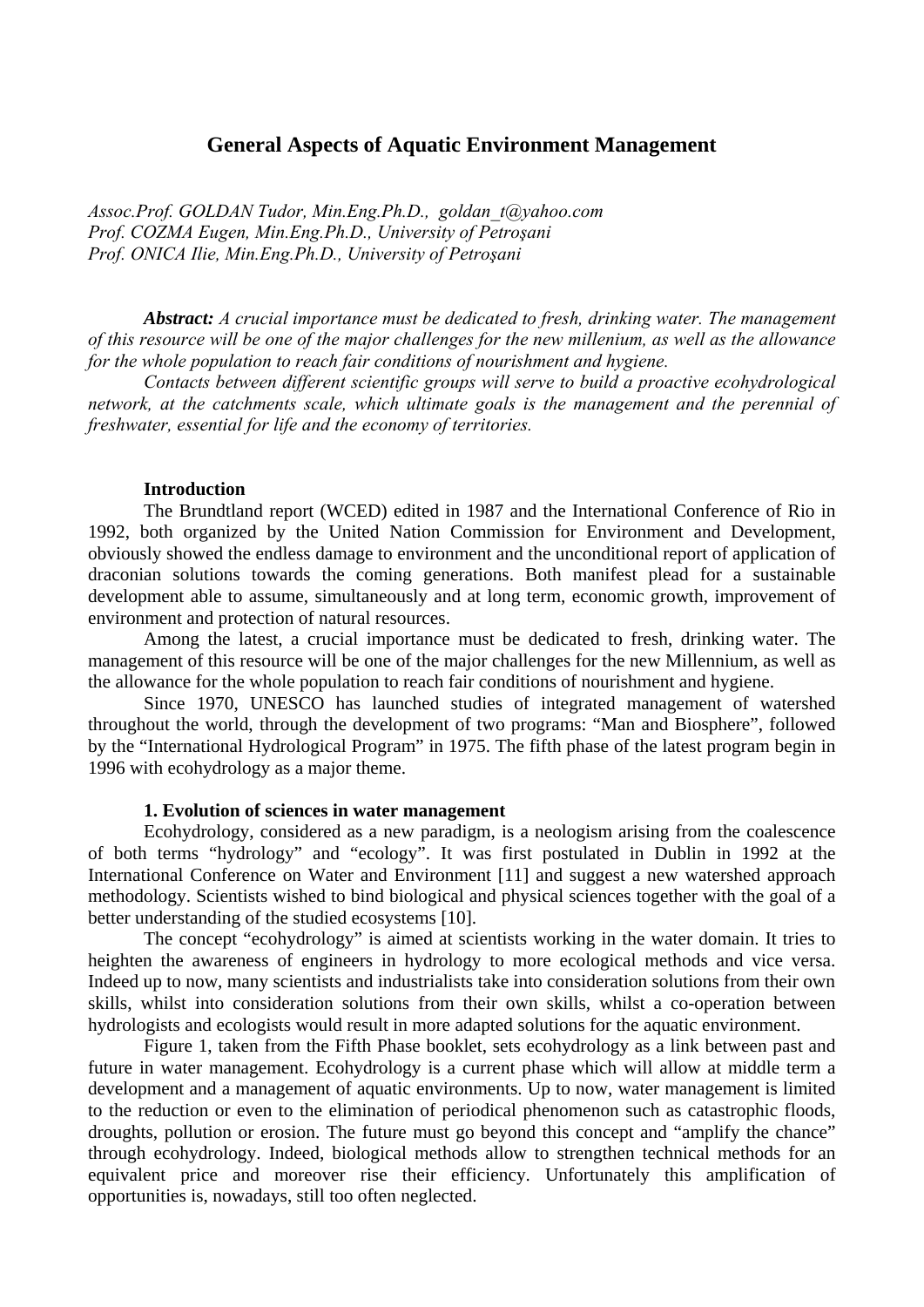# **General Aspects of Aquatic Environment Management**

*Assoc.Prof. GOLDAN Tudor, Min.Eng.Ph.D., goldan\_t@yahoo.com Prof. COZMA Eugen, Min.Eng.Ph.D., University of Petroşani Prof. ONICA Ilie, Min.Eng.Ph.D., University of Petroşani* 

*Abstract: A crucial importance must be dedicated to fresh, drinking water. The management of this resource will be one of the major challenges for the new millenium, as well as the allowance for the whole population to reach fair conditions of nourishment and hygiene.* 

 *Contacts between different scientific groups will serve to build a proactive ecohydrological network, at the catchments scale, which ultimate goals is the management and the perennial of freshwater, essential for life and the economy of territories.* 

#### **Introduction**

The Brundtland report (WCED) edited in 1987 and the International Conference of Rio in 1992, both organized by the United Nation Commission for Environment and Development, obviously showed the endless damage to environment and the unconditional report of application of draconian solutions towards the coming generations. Both manifest plead for a sustainable development able to assume, simultaneously and at long term, economic growth, improvement of environment and protection of natural resources.

Among the latest, a crucial importance must be dedicated to fresh, drinking water. The management of this resource will be one of the major challenges for the new Millennium, as well as the allowance for the whole population to reach fair conditions of nourishment and hygiene.

Since 1970, UNESCO has launched studies of integrated management of watershed throughout the world, through the development of two programs: "Man and Biosphere", followed by the "International Hydrological Program" in 1975. The fifth phase of the latest program begin in 1996 with ecohydrology as a major theme.

#### **1. Evolution of sciences in water management**

Ecohydrology, considered as a new paradigm, is a neologism arising from the coalescence of both terms "hydrology" and "ecology". It was first postulated in Dublin in 1992 at the International Conference on Water and Environment [11] and suggest a new watershed approach methodology. Scientists wished to bind biological and physical sciences together with the goal of a better understanding of the studied ecosystems [10].

The concept "ecohydrology" is aimed at scientists working in the water domain. It tries to heighten the awareness of engineers in hydrology to more ecological methods and vice versa. Indeed up to now, many scientists and industrialists take into consideration solutions from their own skills, whilst into consideration solutions from their own skills, whilst a co-operation between hydrologists and ecologists would result in more adapted solutions for the aquatic environment.

Figure 1, taken from the Fifth Phase booklet, sets ecohydrology as a link between past and future in water management. Ecohydrology is a current phase which will allow at middle term a development and a management of aquatic environments. Up to now, water management is limited to the reduction or even to the elimination of periodical phenomenon such as catastrophic floods, droughts, pollution or erosion. The future must go beyond this concept and "amplify the chance" through ecohydrology. Indeed, biological methods allow to strengthen technical methods for an equivalent price and moreover rise their efficiency. Unfortunately this amplification of opportunities is, nowadays, still too often neglected.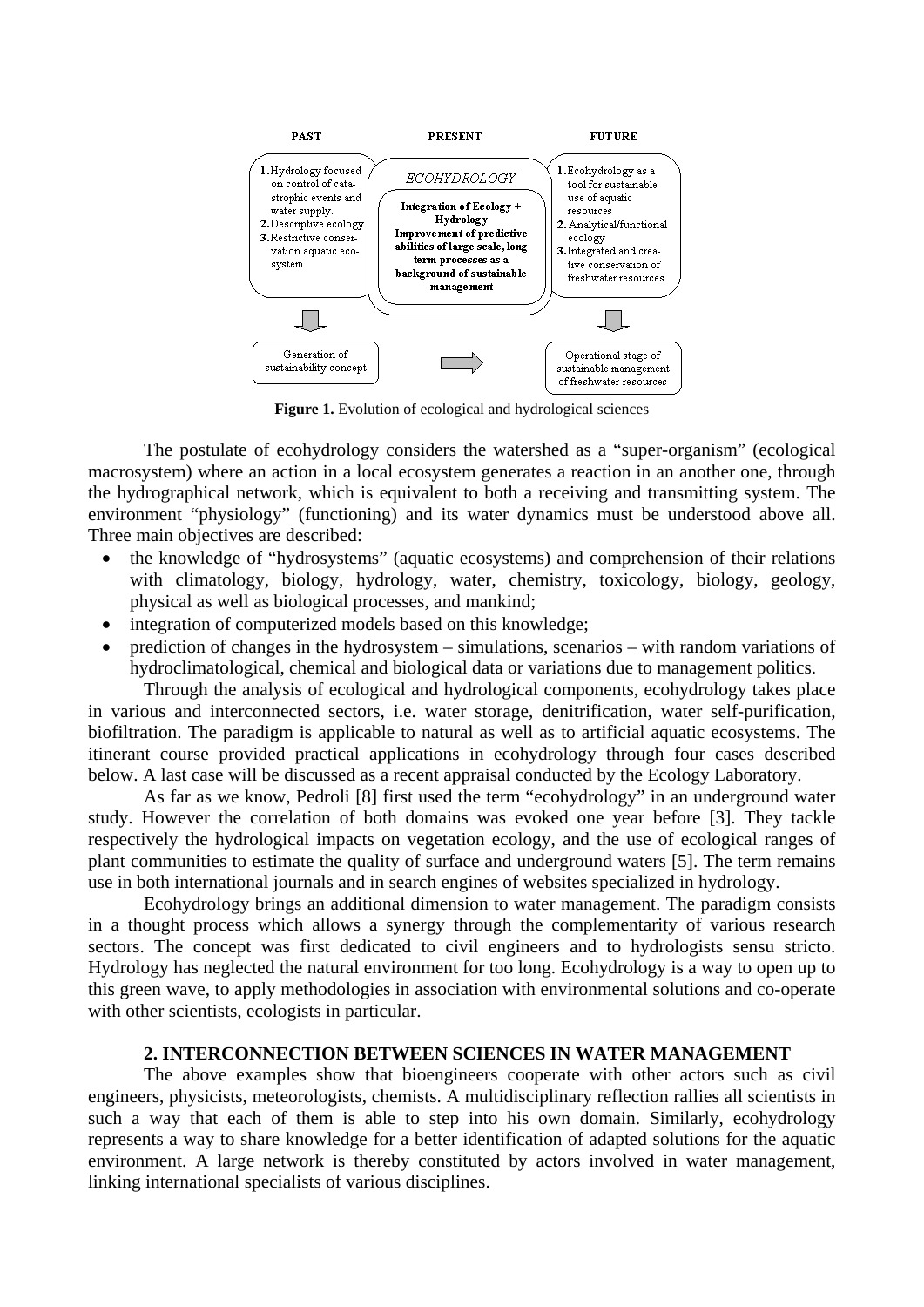

**Figure 1.** Evolution of ecological and hydrological sciences

The postulate of ecohydrology considers the watershed as a "super-organism" (ecological macrosystem) where an action in a local ecosystem generates a reaction in an another one, through the hydrographical network, which is equivalent to both a receiving and transmitting system. The environment "physiology" (functioning) and its water dynamics must be understood above all. Three main objectives are described:

- the knowledge of "hydrosystems" (aquatic ecosystems) and comprehension of their relations with climatology, biology, hydrology, water, chemistry, toxicology, biology, geology, physical as well as biological processes, and mankind;
- integration of computerized models based on this knowledge:
- prediction of changes in the hydrosystem simulations, scenarios with random variations of hydroclimatological, chemical and biological data or variations due to management politics.

Through the analysis of ecological and hydrological components, ecohydrology takes place in various and interconnected sectors, i.e. water storage, denitrification, water self-purification, biofiltration. The paradigm is applicable to natural as well as to artificial aquatic ecosystems. The itinerant course provided practical applications in ecohydrology through four cases described below. A last case will be discussed as a recent appraisal conducted by the Ecology Laboratory.

As far as we know, Pedroli [8] first used the term "ecohydrology" in an underground water study. However the correlation of both domains was evoked one year before [3]. They tackle respectively the hydrological impacts on vegetation ecology, and the use of ecological ranges of plant communities to estimate the quality of surface and underground waters [5]. The term remains use in both international journals and in search engines of websites specialized in hydrology.

Ecohydrology brings an additional dimension to water management. The paradigm consists in a thought process which allows a synergy through the complementarity of various research sectors. The concept was first dedicated to civil engineers and to hydrologists sensu stricto. Hydrology has neglected the natural environment for too long. Ecohydrology is a way to open up to this green wave, to apply methodologies in association with environmental solutions and co-operate with other scientists, ecologists in particular.

## **2. INTERCONNECTION BETWEEN SCIENCES IN WATER MANAGEMENT**

The above examples show that bioengineers cooperate with other actors such as civil engineers, physicists, meteorologists, chemists. A multidisciplinary reflection rallies all scientists in such a way that each of them is able to step into his own domain. Similarly, ecohydrology represents a way to share knowledge for a better identification of adapted solutions for the aquatic environment. A large network is thereby constituted by actors involved in water management, linking international specialists of various disciplines.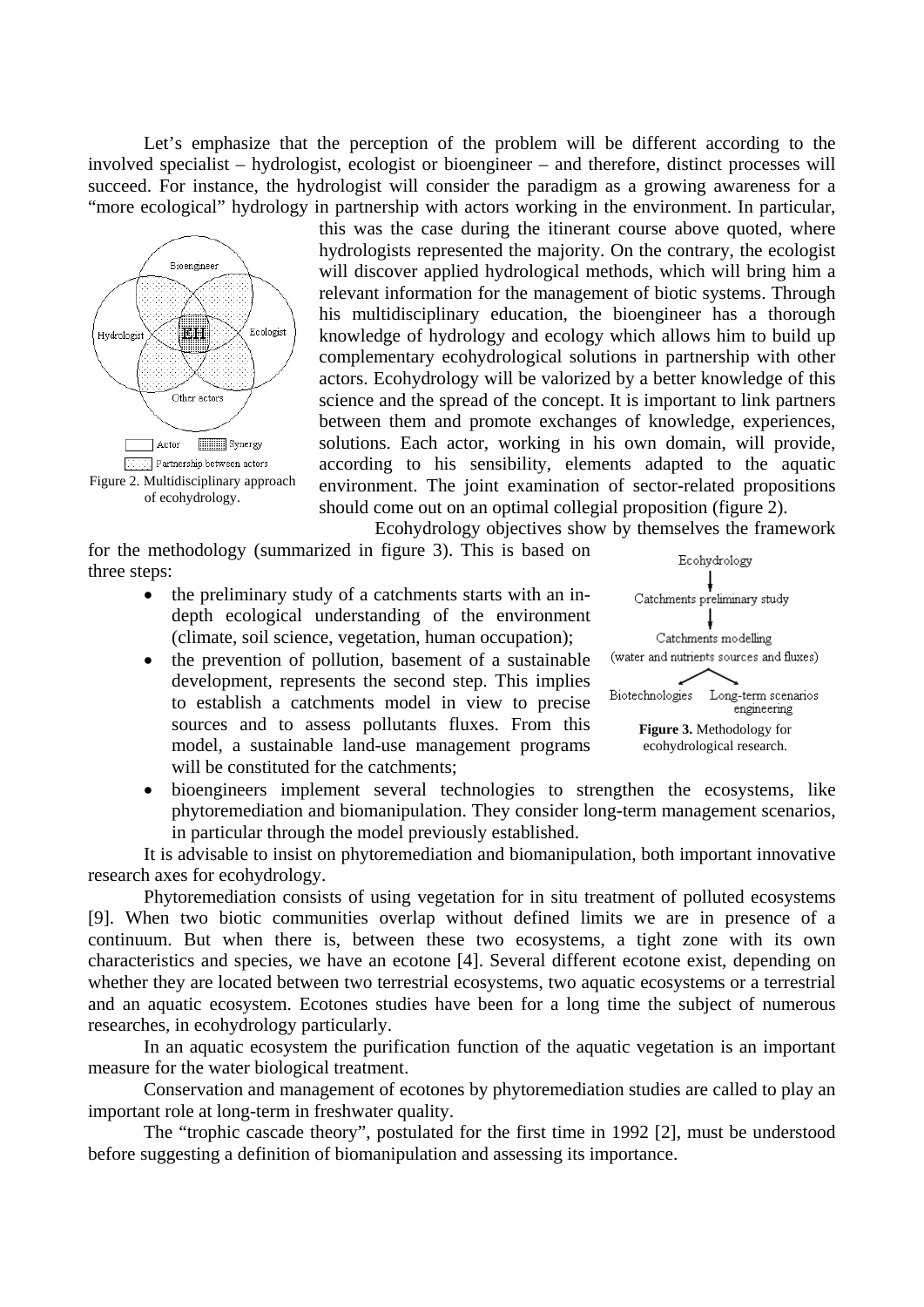Let's emphasize that the perception of the problem will be different according to the involved specialist – hydrologist, ecologist or bioengineer – and therefore, distinct processes will succeed. For instance, the hydrologist will consider the paradigm as a growing awareness for a "more ecological" hydrology in partnership with actors working in the environment. In particular,



this was the case during the itinerant course above quoted, where hydrologists represented the majority. On the contrary, the ecologist will discover applied hydrological methods, which will bring him a relevant information for the management of biotic systems. Through his multidisciplinary education, the bioengineer has a thorough knowledge of hydrology and ecology which allows him to build up complementary ecohydrological solutions in partnership with other actors. Ecohydrology will be valorized by a better knowledge of this science and the spread of the concept. It is important to link partners between them and promote exchanges of knowledge, experiences, solutions. Each actor, working in his own domain, will provide, according to his sensibility, elements adapted to the aquatic environment. The joint examination of sector-related propositions should come out on an optimal collegial proposition (figure 2).

Ecohydrology objectives show by themselves the framework

for the methodology (summarized in figure 3). This is based on three steps:

- the preliminary study of a catchments starts with an indepth ecological understanding of the environment (climate, soil science, vegetation, human occupation);
- the prevention of pollution, basement of a sustainable development, represents the second step. This implies to establish a catchments model in view to precise sources and to assess pollutants fluxes. From this model, a sustainable land-use management programs will be constituted for the catchments:



• bioengineers implement several technologies to strengthen the ecosystems, like phytoremediation and biomanipulation. They consider long-term management scenarios, in particular through the model previously established.

It is advisable to insist on phytoremediation and biomanipulation, both important innovative research axes for ecohydrology.

Phytoremediation consists of using vegetation for in situ treatment of polluted ecosystems [9]. When two biotic communities overlap without defined limits we are in presence of a continuum. But when there is, between these two ecosystems, a tight zone with its own characteristics and species, we have an ecotone [4]. Several different ecotone exist, depending on whether they are located between two terrestrial ecosystems, two aquatic ecosystems or a terrestrial and an aquatic ecosystem. Ecotones studies have been for a long time the subject of numerous researches, in ecohydrology particularly.

In an aquatic ecosystem the purification function of the aquatic vegetation is an important measure for the water biological treatment.

Conservation and management of ecotones by phytoremediation studies are called to play an important role at long-term in freshwater quality.

The "trophic cascade theory", postulated for the first time in 1992 [2], must be understood before suggesting a definition of biomanipulation and assessing its importance.